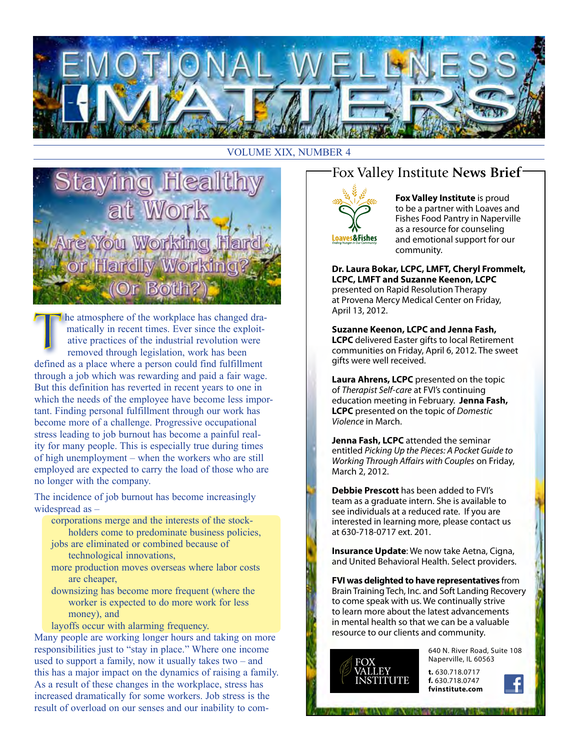

#### VOLUME XIX, NUMBER 4

PR **Hardly Worki** (Or Both?

he atmosphere of the workplace has changed dramatically in recent times. Ever since the exploitative practices of the industrial revolution were removed through legislation, work has been defined as a place where a person could find fulfillment through a job which was rewarding and paid a fair wage. But this definition has reverted in recent years to one in which the needs of the employee have become less important. Finding personal fulfillment through our work has become more of a challenge. Progressive occupational stress leading to job burnout has become a painful reality for many people. This is especially true during times of high unemployment – when the workers who are still employed are expected to carry the load of those who are no longer with the company.

The incidence of job burnout has become increasingly widespread as –

- corporations merge and the interests of the stockholders come to predominate business policies,
- jobs are eliminated or combined because of technological innovations,
- more production moves overseas where labor costs are cheaper,
- downsizing has become more frequent (where the worker is expected to do more work for less money), and
- layoffs occur with alarming frequency.

Many people are working longer hours and taking on more responsibilities just to "stay in place." Where one income used to support a family, now it usually takes two – and this has a major impact on the dynamics of raising a family. As a result of these changes in the workplace, stress has increased dramatically for some workers. Job stress is the result of overload on our senses and our inability to com-

### Fox Valley Institute **News Brief**



**Fox Valley Institute** is proud to be a partner with Loaves and Fishes Food Pantry in Naperville as a resource for counseling and emotional support for our community.

**Dr. Laura Bokar, LCPC, LMFT, Cheryl Frommelt, LCPC, LMFT and Suzanne Keenon, LCPC** presented on Rapid Resolution Therapy at Provena Mercy Medical Center on Friday, April 13, 2012.

**Suzanne Keenon, LCPC and Jenna Fash, LCPC** delivered Easter gifts to local Retirement communities on Friday, April 6, 2012. The sweet gifts were well received.

**Laura Ahrens, LCPC** presented on the topic of *Therapist Self-care* at FVI's continuing education meeting in February. **Jenna Fash, LCPC** presented on the topic of *Domestic Violence* in March.

**Jenna Fash, LCPC** attended the seminar entitled *Picking Up the Pieces: A Pocket Guide to Working Through Affairs with Couples* on Friday, March 2, 2012.

**Debbie Prescott** has been added to FVI's team as a graduate intern. She is available to see individuals at a reduced rate. If you are interested in learning more, please contact us at 630-718-0717 ext. 201.

**Insurance Update**: We now take Aetna, Cigna, and United Behavioral Health. Select providers.

**FVI was delighted to have representatives** from Brain Training Tech, Inc. and Soft Landing Recovery to come speak with us. We continually strive to learn more about the latest advancements in mental health so that we can be a valuable resource to our clients and community.



640 N. River Road, Suite 108 Naperville, IL 60563

**t.** 630.718.0717 **f.** 630.718.0747 **fvinstitute.com**

**IT A REVOLUTION CONTRACT IN THE REPORT OF A REPORT**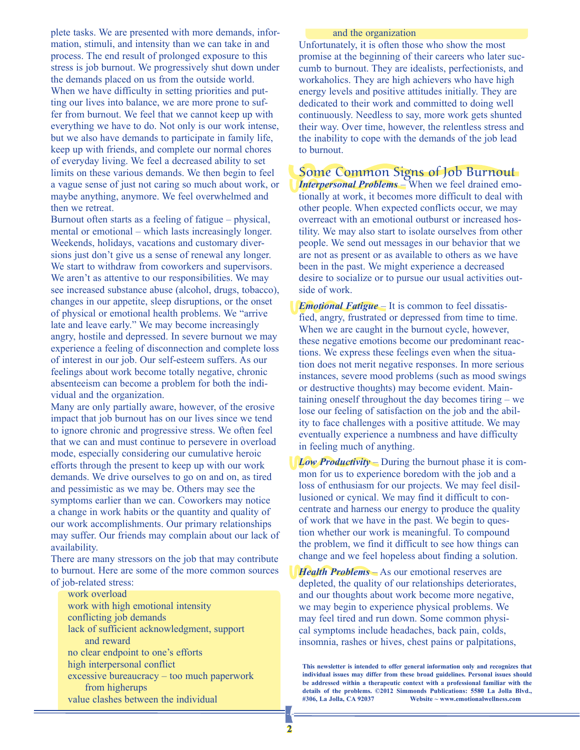plete tasks. We are presented with more demands, information, stimuli, and intensity than we can take in and process. The end result of prolonged exposure to this stress is job burnout. We progressively shut down under the demands placed on us from the outside world. When we have difficulty in setting priorities and putting our lives into balance, we are more prone to suffer from burnout. We feel that we cannot keep up with everything we have to do. Not only is our work intense, but we also have demands to participate in family life, keep up with friends, and complete our normal chores of everyday living. We feel a decreased ability to set limits on these various demands. We then begin to feel a vague sense of just not caring so much about work, or maybe anything, anymore. We feel overwhelmed and then we retreat.

Burnout often starts as a feeling of fatigue – physical, mental or emotional – which lasts increasingly longer. Weekends, holidays, vacations and customary diversions just don't give us a sense of renewal any longer. We start to withdraw from coworkers and supervisors. We aren't as attentive to our responsibilities. We may see increased substance abuse (alcohol, drugs, tobacco), changes in our appetite, sleep disruptions, or the onset of physical or emotional health problems. We "arrive late and leave early." We may become increasingly angry, hostile and depressed. In severe burnout we may experience a feeling of disconnection and complete loss of interest in our job. Our self-esteem suffers. As our feelings about work become totally negative, chronic absenteeism can become a problem for both the individual and the organization.

Many are only partially aware, however, of the erosive impact that job burnout has on our lives since we tend to ignore chronic and progressive stress. We often feel that we can and must continue to persevere in overload mode, especially considering our cumulative heroic efforts through the present to keep up with our work demands. We drive ourselves to go on and on, as tired and pessimistic as we may be. Others may see the symptoms earlier than we can. Coworkers may notice a change in work habits or the quantity and quality of our work accomplishments. Our primary relationships may suffer. Our friends may complain about our lack of availability.

There are many stressors on the job that may contribute to burnout. Here are some of the more common sources of job-related stress:

work overload work with high emotional intensity conflicting job demands lack of sufficient acknowledgment, support and reward no clear endpoint to one's efforts high interpersonal conflict excessive bureaucracy – too much paperwork from higherups value clashes between the individual

#### and the organization

Unfortunately, it is often those who show the most promise at the beginning of their careers who later succumb to burnout. They are idealists, perfectionists, and workaholics. They are high achievers who have high energy levels and positive attitudes initially. They are dedicated to their work and committed to doing well continuously. Needless to say, more work gets shunted their way. Over time, however, the relentless stress and the inability to cope with the demands of the job lead to burnout.

Some Common Signs of Job Burnout *Interpersonal Problems* – When we feel drained emotionally at work, it becomes more difficult to deal with other people. When expected conflicts occur, we may overreact with an emotional outburst or increased hostility. We may also start to isolate ourselves from other people. We send out messages in our behavior that we are not as present or as available to others as we have been in the past. We might experience a decreased desire to socialize or to pursue our usual activities outside of work.

*Emotional Fatigue* – It is common to feel dissatisfied, angry, frustrated or depressed from time to time. When we are caught in the burnout cycle, however, these negative emotions become our predominant reactions. We express these feelings even when the situation does not merit negative responses. In more serious instances, severe mood problems (such as mood swings or destructive thoughts) may become evident. Maintaining oneself throughout the day becomes tiring – we lose our feeling of satisfaction on the job and the ability to face challenges with a positive attitude. We may eventually experience a numbness and have difficulty in feeling much of anything.

*Low Productivity* – During the burnout phase it is common for us to experience boredom with the job and a loss of enthusiasm for our projects. We may feel disillusioned or cynical. We may find it difficult to concentrate and harness our energy to produce the quality of work that we have in the past. We begin to question whether our work is meaningful. To compound the problem, we find it difficult to see how things can change and we feel hopeless about finding a solution.

*Health Problems* – As our emotional reserves are depleted, the quality of our relationships deteriorates, and our thoughts about work become more negative, we may begin to experience physical problems. We may feel tired and run down. Some common physical symptoms include headaches, back pain, colds, insomnia, rashes or hives, chest pains or palpitations,

**This newsletter is intended to offer general information only and recognizes that individual issues may differ from these broad guidelines. Personal issues should be addressed within a therapeutic context with a professional familiar with the details of the problems. ©2012 Simmonds Publications: 5580 La Jolla Blvd., #306, La Jolla, CA 92037 Website ~ www.emotionalwellness.com**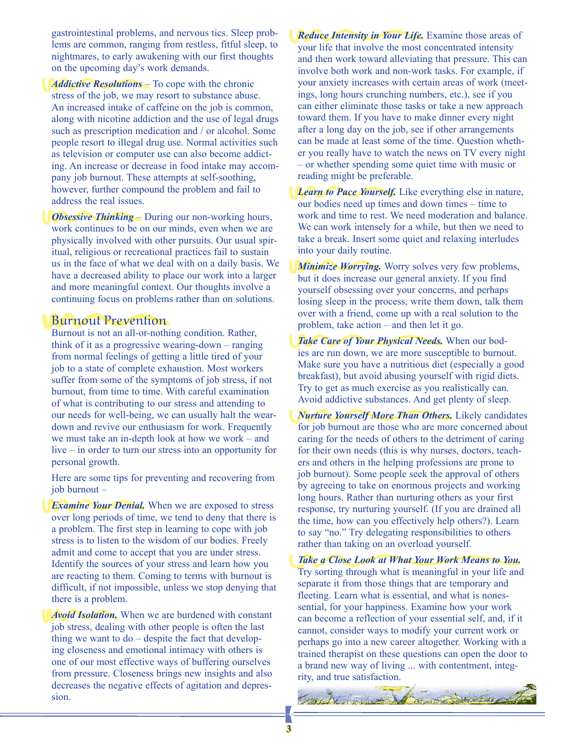gastrointestinal problems, and nervous tics. Sleep problems are common, ranging from restless, fitful sleep, to nightmares, to early awakening with our first thoughts on the upcoming day's work demands.

*Addictive Resolutions* – To cope with the chronic stress of the job, we may resort to substance abuse. An increased intake of caffeine on the job is common, along with nicotine addiction and the use of legal drugs such as prescription medication and / or alcohol. Some people resort to illegal drug use. Normal activities such as television or computer use can also become addicting. An increase or decrease in food intake may accompany job burnout. These attempts at self-soothing, however, further compound the problem and fail to address the real issues.

*Obsessive Thinking* – During our non-working hours, work continues to be on our minds, even when we are physically involved with other pursuits. Our usual spiritual, religious or recreational practices fail to sustain us in the face of what we deal with on a daily basis. We have a decreased ability to place our work into a larger and more meaningful context. Our thoughts involve a continuing focus on problems rather than on solutions.

#### Burnout Prevention

Burnout is not an all-or-nothing condition. Rather, think of it as a progressive wearing-down – ranging from normal feelings of getting a little tired of your job to a state of complete exhaustion. Most workers suffer from some of the symptoms of job stress, if not burnout, from time to time. With careful examination of what is contributing to our stress and attending to our needs for well-being, we can usually halt the weardown and revive our enthusiasm for work. Frequently we must take an in-depth look at how we work – and live – in order to turn our stress into an opportunity for personal growth.

Here are some tips for preventing and recovering from job burnout –

*Examine Your Denial.* When we are exposed to stress over long periods of time, we tend to deny that there is a problem. The first step in learning to cope with job stress is to listen to the wisdom of our bodies. Freely admit and come to accept that you are under stress. Identify the sources of your stress and learn how you are reacting to them. Coming to terms with burnout is difficult, if not impossible, unless we stop denying that there is a problem.

*Avoid Isolation.* When we are burdened with constant job stress, dealing with other people is often the last thing we want to do – despite the fact that developing closeness and emotional intimacy with others is one of our most effective ways of buffering ourselves from pressure. Closeness brings new insights and also decreases the negative effects of agitation and depression.

*Reduce Intensity in Your Life.* Examine those areas of your life that involve the most concentrated intensity and then work toward alleviating that pressure. This can involve both work and non-work tasks. For example, if your anxiety increases with certain areas of work (meetings, long hours crunching numbers, etc.), see if you can either eliminate those tasks or take a new approach toward them. If you have to make dinner every night after a long day on the job, see if other arrangements can be made at least some of the time. Question whether you really have to watch the news on TV every night – or whether spending some quiet time with music or reading might be preferable.

*Learn to Pace Yourself.* Like everything else in nature, our bodies need up times and down times – time to work and time to rest. We need moderation and balance. We can work intensely for a while, but then we need to take a break. Insert some quiet and relaxing interludes into your daily routine.

*Minimize Worrying.* Worry solves very few problems, but it does increase our general anxiety. If you find yourself obsessing over your concerns, and perhaps losing sleep in the process, write them down, talk them over with a friend, come up with a real solution to the problem, take action – and then let it go.

*Take Care of Your Physical Needs.* When our bodies are run down, we are more susceptible to burnout. Make sure you have a nutritious diet (especially a good breakfast), but avoid abusing yourself with rigid diets. Try to get as much exercise as you realistically can. Avoid addictive substances. And get plenty of sleep.

*Nurture Yourself More Than Others.* Likely candidates for job burnout are those who are more concerned about caring for the needs of others to the detriment of caring for their own needs (this is why nurses, doctors, teachers and others in the helping professions are prone to job burnout). Some people seek the approval of others by agreeing to take on enormous projects and working long hours. Rather than nurturing others as your first response, try nurturing yourself. (If you are drained all the time, how can you effectively help others?). Learn to say "no." Try delegating responsibilities to others rather than taking on an overload yourself.

*Take a Close Look at What Your Work Means to You.* Try sorting through what is meaningful in your life and separate it from those things that are temporary and fleeting. Learn what is essential, and what is nonessential, for your happiness. Examine how your work can become a reflection of your essential self, and, if it cannot, consider ways to modify your current work or perhaps go into a new career altogether. Working with a trained therapist on these questions can open the door to a brand new way of living ... with contentment, integrity, and true satisfaction.